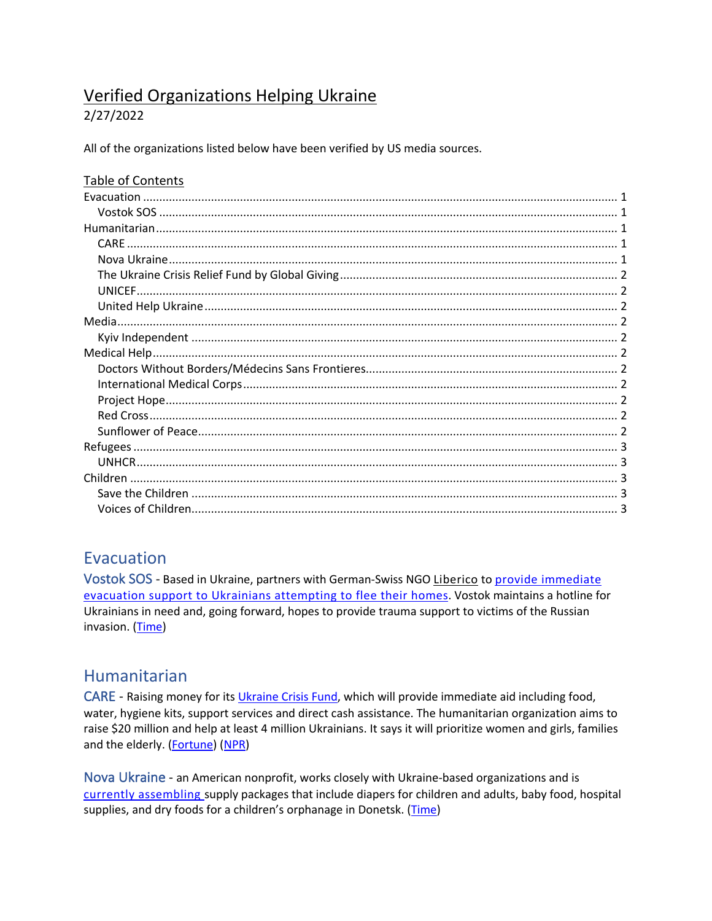# **Verified Organizations Helping Ukraine**

#### 2/27/2022

All of the organizations listed below have been verified by US media sources.

#### Table of Contents

### **Evacuation**

Vostok SOS - Based in Ukraine, partners with German-Swiss NGO Liberico to provide immediate evacuation support to Ukrainians attempting to flee their homes. Vostok maintains a hotline for Ukrainians in need and, going forward, hopes to provide trauma support to victims of the Russian invasion. (Time)

### Humanitarian

CARE - Raising money for its Ukraine Crisis Fund, which will provide immediate aid including food, water, hygiene kits, support services and direct cash assistance. The humanitarian organization aims to raise \$20 million and help at least 4 million Ukrainians. It says it will prioritize women and girls, families and the elderly. (Fortune) (NPR)

Nova Ukraine - an American nonprofit, works closely with Ukraine-based organizations and is currently assembling supply packages that include diapers for children and adults, baby food, hospital supplies, and dry foods for a children's orphanage in Donetsk. (Time)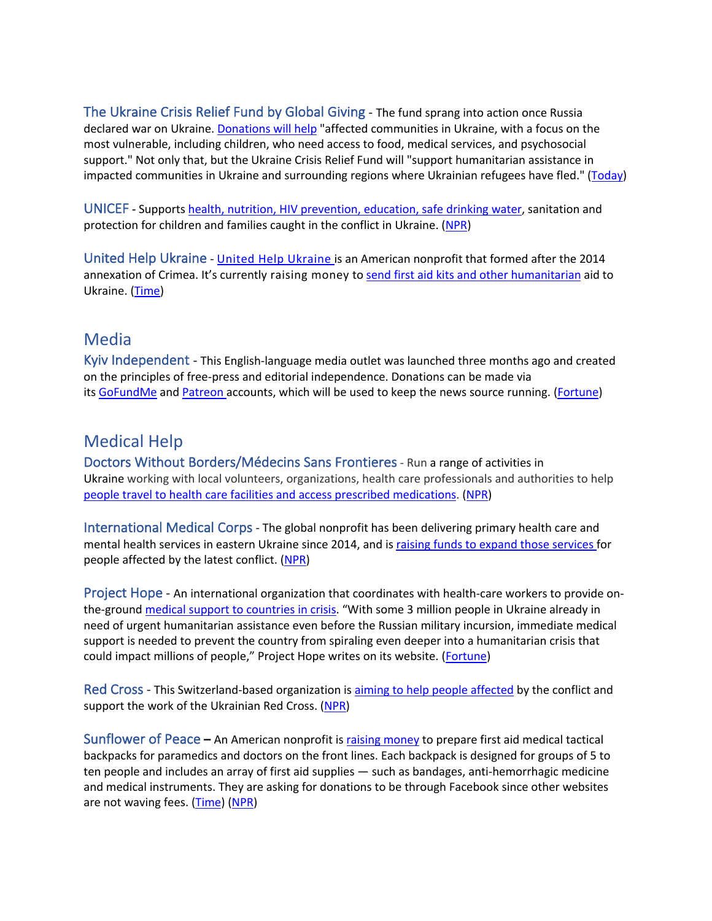The Ukraine Crisis Relief Fund by Global Giving - The fund sprang into action once Russia declared war on Ukraine. Donations will help "affected communities in Ukraine, with a focus on the most vulnerable, including children, who need access to food, medical services, and psychosocial support." Not only that, but the Ukraine Crisis Relief Fund will "support humanitarian assistance in impacted communities in Ukraine and surrounding regions where Ukrainian refugees have fled." (Today)

UNICEF **-** Supports health, nutrition, HIV prevention, education, safe drinking water, sanitation and protection for children and families caught in the conflict in Ukraine. (NPR)

United Help Ukraine - United Help Ukraine is an American nonprofit that formed after the 2014 annexation of Crimea. It's currently raising money to send first aid kits and other humanitarian aid to Ukraine. (Time)

#### Media

Kyiv Independent - This English-language media outlet was launched three months ago and created on the principles of free-press and editorial independence. Donations can be made via its GoFundMe and Patreon accounts, which will be used to keep the news source running. (Fortune)

### Medical Help

Doctors Without Borders/Médecins Sans Frontieres- Run a range of activities in Ukraine working with local volunteers, organizations, health care professionals and authorities to help people travel to health care facilities and access prescribed medications. (NPR)

International Medical Corps - The global nonprofit has been delivering primary health care and mental health services in eastern Ukraine since 2014, and is raising funds to expand those services for people affected by the latest conflict. (NPR)

Project Hope - An international organization that coordinates with health-care workers to provide onthe-ground medical support to countries in crisis. "With some 3 million people in Ukraine already in need of urgent humanitarian assistance even before the Russian military incursion, immediate medical support is needed to prevent the country from spiraling even deeper into a humanitarian crisis that could impact millions of people," Project Hope writes on its website. (Fortune)

Red Cross - This Switzerland-based organization is aiming to help people affected by the conflict and support the work of the Ukrainian Red Cross. (NPR)

Sunflower of Peace **–** An American nonprofit is raising money to prepare first aid medical tactical backpacks for paramedics and doctors on the front lines. Each backpack is designed for groups of 5 to ten people and includes an array of first aid supplies — such as bandages, anti-hemorrhagic medicine and medical instruments. They are asking for donations to be through Facebook since other websites are not waving fees. (Time) (NPR)